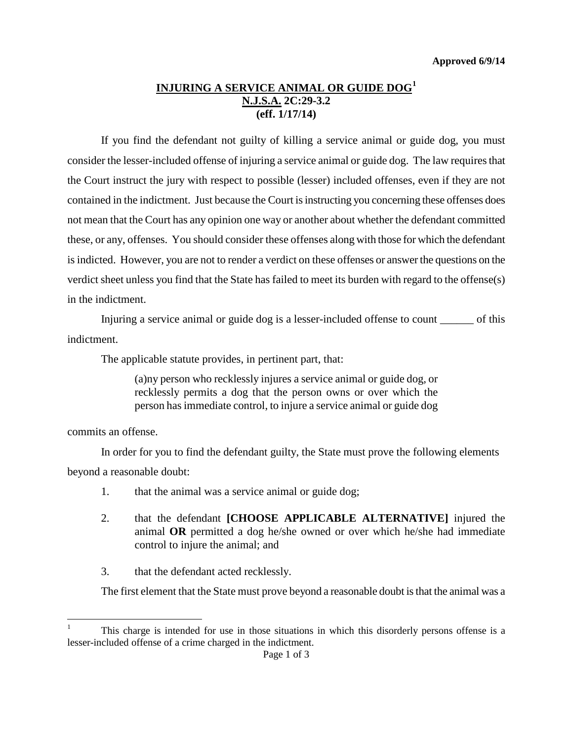## **INJURING A SERVICE ANIMAL OR GUIDE DOG[1](#page-0-0) N.J.S.A. 2C:29-3.2 (eff. 1/17/14)**

If you find the defendant not guilty of killing a service animal or guide dog, you must consider the lesser-included offense of injuring a service animal or guide dog. The law requires that the Court instruct the jury with respect to possible (lesser) included offenses, even if they are not contained in the indictment. Just because the Court is instructing you concerning these offenses does not mean that the Court has any opinion one way or another about whether the defendant committed these, or any, offenses. You should consider these offenses along with those for which the defendant is indicted. However, you are not to render a verdict on these offenses or answer the questions on the verdict sheet unless you find that the State has failed to meet its burden with regard to the offense(s) in the indictment.

Injuring a service animal or guide dog is a lesser-included offense to count \_\_\_\_\_\_ of this indictment.

The applicable statute provides, in pertinent part, that:

(a)ny person who recklessly injures a service animal or guide dog, or recklessly permits a dog that the person owns or over which the person has immediate control, to injure a service animal or guide dog

commits an offense.

In order for you to find the defendant guilty, the State must prove the following elements beyond a reasonable doubt:

- 1. that the animal was a service animal or guide dog;
- 2. that the defendant **[CHOOSE APPLICABLE ALTERNATIVE]** injured the animal **OR** permitted a dog he/she owned or over which he/she had immediate control to injure the animal; and
- 3. that the defendant acted recklessly.

The first element that the State must prove beyond a reasonable doubt is that the animal was a

<span id="page-0-1"></span><span id="page-0-0"></span> <sup>1</sup> This charge is intended for use in those situations in which this disorderly persons offense is a lesser-included offense of a crime charged in the indictment.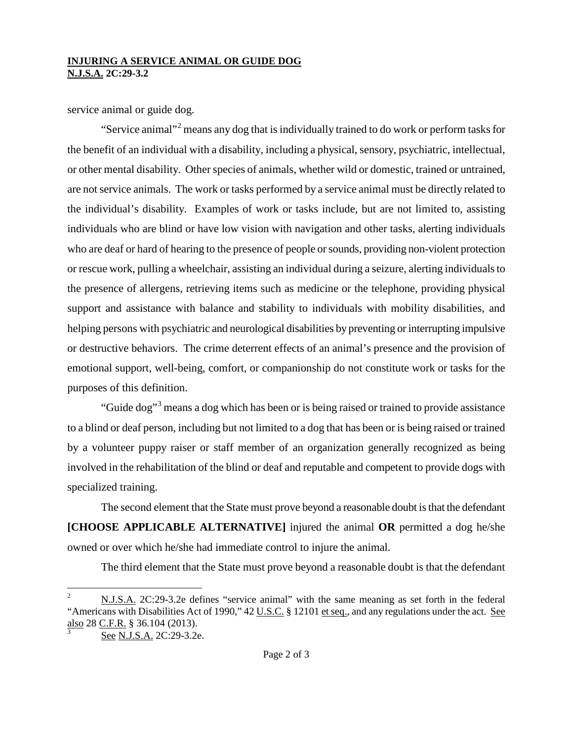## **INJURING A SERVICE ANIMAL OR GUIDE DOG N.J.S.A. 2C:29-3.2**

service animal or guide dog.

"Service animal"<sup>[2](#page-0-1)</sup> means any dog that is individually trained to do work or perform tasks for the benefit of an individual with a disability, including a physical, sensory, psychiatric, intellectual, or other mental disability. Other species of animals, whether wild or domestic, trained or untrained, are not service animals. The work or tasks performed by a service animal must be directly related to the individual's disability. Examples of work or tasks include, but are not limited to, assisting individuals who are blind or have low vision with navigation and other tasks, alerting individuals who are deaf or hard of hearing to the presence of people or sounds, providing non-violent protection or rescue work, pulling a wheelchair, assisting an individual during a seizure, alerting individuals to the presence of allergens, retrieving items such as medicine or the telephone, providing physical support and assistance with balance and stability to individuals with mobility disabilities, and helping persons with psychiatric and neurological disabilities by preventing or interrupting impulsive or destructive behaviors. The crime deterrent effects of an animal's presence and the provision of emotional support, well-being, comfort, or companionship do not constitute work or tasks for the purposes of this definition.

"Guide dog"<sup>[3](#page-1-0)</sup> means a dog which has been or is being raised or trained to provide assistance to a blind or deaf person, including but not limited to a dog that has been or is being raised or trained by a volunteer puppy raiser or staff member of an organization generally recognized as being involved in the rehabilitation of the blind or deaf and reputable and competent to provide dogs with specialized training.

The second element that the State must prove beyond a reasonable doubt is that the defendant **[CHOOSE APPLICABLE ALTERNATIVE]** injured the animal **OR** permitted a dog he/she owned or over which he/she had immediate control to injure the animal.

The third element that the State must prove beyond a reasonable doubt is that the defendant

 <sup>2</sup> N.J.S.A. 2C:29-3.2e defines "service animal" with the same meaning as set forth in the federal "Americans with Disabilities Act of 1990," 42 U.S.C. § 12101 et seq., and any regulations under the act. See also 28 C.F.R. § 36.104 (2013).<br>
See N.J.S.A. 2C:29-3.2e.

<span id="page-1-0"></span>